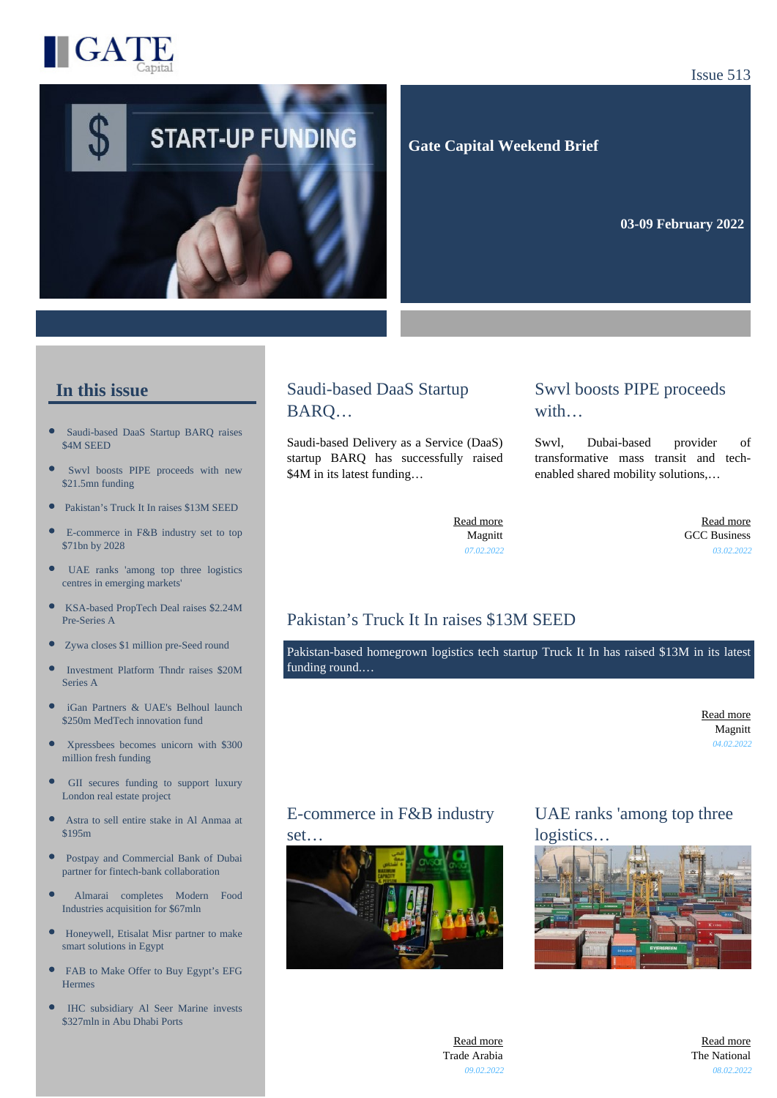

#### Issue 513



#### **Gate Capital Weekend Brief**

**03-09 February 2022** 

#### **In this issue**

- [Saudi-based DaaS Startup BARQ raises](https://gatecapital.net/back_office/newsletters/tracking/5653/655) [\\$4M SEED](https://gatecapital.net/back_office/newsletters/tracking/5653/655)
- [Swvl boosts PIPE proceeds with new](https://gatecapital.net/back_office/newsletters/tracking/5656/655) [\\$21.5mn funding](https://gatecapital.net/back_office/newsletters/tracking/5656/655)
- [Pakistan's Truck It In raises \\$13M SEED](https://gatecapital.net/back_office/newsletters/tracking/5661/655)  $\bullet$
- [E-commerce in F&B industry set to top](https://gatecapital.net/back_office/newsletters/tracking/5669/655) [\\$71bn by 2028](https://gatecapital.net/back_office/newsletters/tracking/5669/655)
- $\bullet$ [UAE ranks 'among top three logistics](https://gatecapital.net/back_office/newsletters/tracking/5670/655) [centres in emerging markets'](https://gatecapital.net/back_office/newsletters/tracking/5670/655)
- $\bullet$ [KSA-based PropTech Deal raises \\$2.24M](https://gatecapital.net/back_office/newsletters/tracking/5664/655) [Pre-Series A](https://gatecapital.net/back_office/newsletters/tracking/5664/655)
- [Zywa closes \\$1 million pre-Seed round](https://gatecapital.net/back_office/newsletters/tracking/5658/655)
- $\blacksquare$ [Investment Platform Thndr raises \\$20M](https://gatecapital.net/back_office/newsletters/tracking/5667/655) [Series A](https://gatecapital.net/back_office/newsletters/tracking/5667/655)
- $\bullet$ [iGan Partners & UAE's Belhoul launch](https://gatecapital.net/back_office/newsletters/tracking/5655/655) [\\$250m MedTech innovation fund](https://gatecapital.net/back_office/newsletters/tracking/5655/655)
- [Xpressbees becomes unicorn with \\$300](https://gatecapital.net/back_office/newsletters/tracking/5666/655) [million fresh funding](https://gatecapital.net/back_office/newsletters/tracking/5666/655)
- $\bullet$ [GII secures funding to support luxury](https://gatecapital.net/back_office/newsletters/tracking/5671/655) [London real estate project](https://gatecapital.net/back_office/newsletters/tracking/5671/655)
- $\bullet$ [Astra to sell entire stake in Al Anmaa at](https://gatecapital.net/back_office/newsletters/tracking/5657/655) [\\$195m](https://gatecapital.net/back_office/newsletters/tracking/5657/655)
- $\bullet$ [Postpay and Commercial Bank of Dubai](https://gatecapital.net/back_office/newsletters/tracking/5659/655) [partner for fintech-bank collaboration](https://gatecapital.net/back_office/newsletters/tracking/5659/655)
- [Almarai completes Modern Food](https://gatecapital.net/back_office/newsletters/tracking/5660/655) [Industries acquisition for \\$67mln](https://gatecapital.net/back_office/newsletters/tracking/5660/655)
- $\bullet$ [Honeywell, Etisalat Misr partner to make](https://gatecapital.net/back_office/newsletters/tracking/5665/655) [smart solutions in Egypt](https://gatecapital.net/back_office/newsletters/tracking/5665/655)
- $\bullet$ [FAB to Make Offer to Buy Egypt's EFG](https://gatecapital.net/back_office/newsletters/tracking/5663/655) **[Hermes](https://gatecapital.net/back_office/newsletters/tracking/5663/655)**
- [IHC subsidiary Al Seer Marine invests](https://gatecapital.net/back_office/newsletters/tracking/5654/655) [\\$327mln in Abu Dhabi Ports](https://gatecapital.net/back_office/newsletters/tracking/5654/655)

# Saudi-based DaaS Startup BARQ…

Saudi-based Delivery as a Service (DaaS) startup BARQ has successfully raised \$4M in its latest funding…

#### Swvl boosts PIPE proceeds with…

Swvl, Dubai-based provider of transformative mass transit and techenabled shared mobility solutions,…

[Read more](https://gatecapital.net/back_office/newsletters/tracking/5653/655) Magnitt *07.02.2022*

[Read more](https://gatecapital.net/back_office/newsletters/tracking/5656/655) GCC Business *03.02.2022*

# Pakistan's Truck It In raises \$13M SEED

Pakistan-based homegrown logistics tech startup Truck It In has raised \$13M in its latest funding round.…

> [Read more](https://gatecapital.net/back_office/newsletters/tracking/5661/655) Magnitt *04.02.2022*

#### E-commerce in F&B industry

set…



# UAE ranks 'among top three logistics…



[Read more](https://gatecapital.net/back_office/newsletters/tracking/5669/655) Trade Arabia *09.02.2022*

[Read more](https://gatecapital.net/back_office/newsletters/tracking/5670/655) The National *08.02.2022*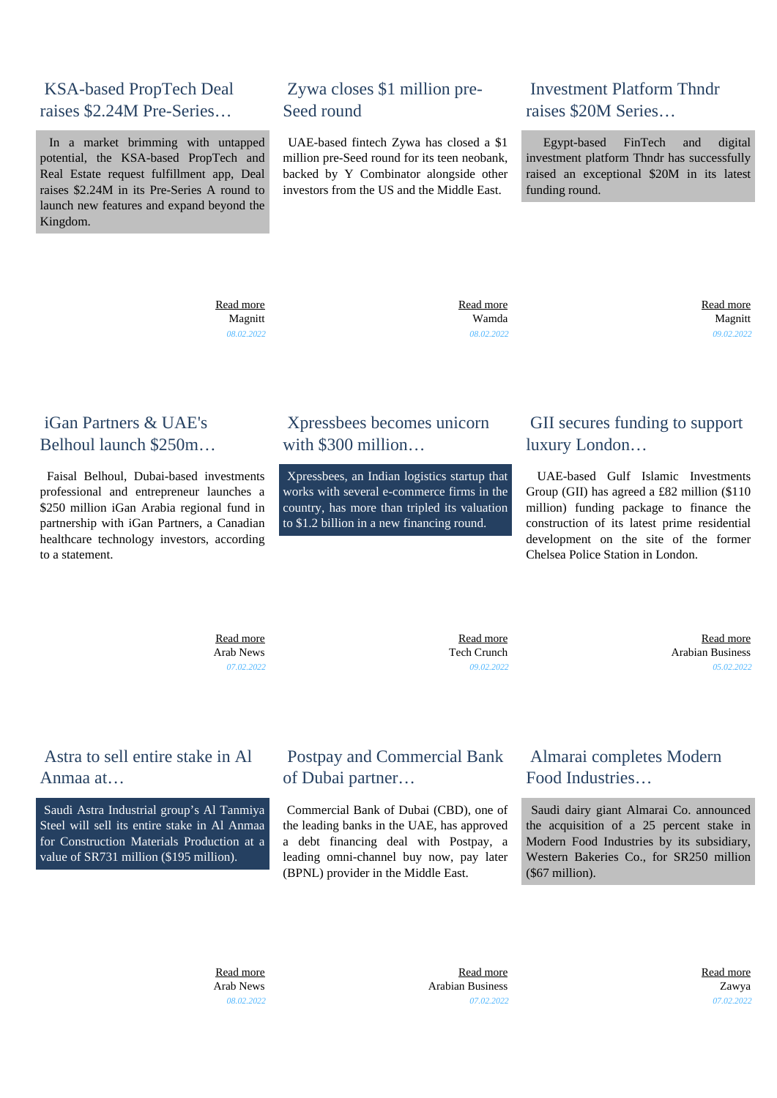### KSA-based PropTech Deal raises \$2.24M Pre-Series…

 In a market brimming with untapped potential, the KSA-based PropTech and Real Estate request fulfillment app, Deal raises \$2.24M in its Pre-Series A round to launch new features and expand beyond the Kingdom.

# Zywa closes \$1 million pre-Seed round

 UAE-based fintech Zywa has closed a \$1 million pre-Seed round for its teen neobank, backed by Y Combinator alongside other investors from the US and the Middle East.

#### Investment Platform Thndr raises \$20M Series…

 Egypt-based FinTech and digital investment platform Thndr has successfully raised an exceptional \$20M in its latest funding round.

 [Read more](https://gatecapital.net/back_office/newsletters/tracking/5664/655) Magnitt *08.02.2022*  [Read more](https://gatecapital.net/back_office/newsletters/tracking/5658/655) Wamda *08.02.2022*  [Read more](https://gatecapital.net/back_office/newsletters/tracking/5667/655) Magnitt *09.02.2022*

## iGan Partners & UAE's Belhoul launch \$250m…

 Faisal Belhoul, Dubai-based investments professional and entrepreneur launches a \$250 million iGan Arabia regional fund in partnership with iGan Partners, a Canadian healthcare technology investors, according to a statement.

### Xpressbees becomes unicorn with \$300 million

 Xpressbees, an Indian logistics startup that works with several e-commerce firms in the country, has more than tripled its valuation to \$1.2 billion in a new financing round.

# GII secures funding to support luxury London…

 UAE-based Gulf Islamic Investments Group (GII) has agreed a £82 million (\$110 million) funding package to finance the construction of its latest prime residential development on the site of the former Chelsea Police Station in London.

 [Read more](https://gatecapital.net/back_office/newsletters/tracking/5655/655) Arab News *07.02.2022*

 [Read more](https://gatecapital.net/back_office/newsletters/tracking/5666/655) Tech Crunch *09.02.2022*

 [Read more](https://gatecapital.net/back_office/newsletters/tracking/5671/655) Arabian Business *05.02.2022*

# Astra to sell entire stake in Al Anmaa at…

 Saudi Astra Industrial group's Al Tanmiya Steel will sell its entire stake in Al Anmaa for Construction Materials Production at a value of SR731 million (\$195 million).

# Postpay and Commercial Bank of Dubai partner…

 Commercial Bank of Dubai (CBD), one of the leading banks in the UAE, has approved a debt financing deal with Postpay, a leading omni-channel buy now, pay later (BPNL) provider in the Middle East.

### Almarai completes Modern Food Industries…

 Saudi dairy giant Almarai Co. announced the acquisition of a 25 percent stake in Modern Food Industries by its subsidiary, Western Bakeries Co., for SR250 million (\$67 million).

 [Read more](https://gatecapital.net/back_office/newsletters/tracking/5657/655) Arab News *08.02.2022*

 [Read more](https://gatecapital.net/back_office/newsletters/tracking/5659/655) Arabian Business *07.02.2022*

 [Read more](https://gatecapital.net/back_office/newsletters/tracking/5660/655) Zawya *07.02.2022*